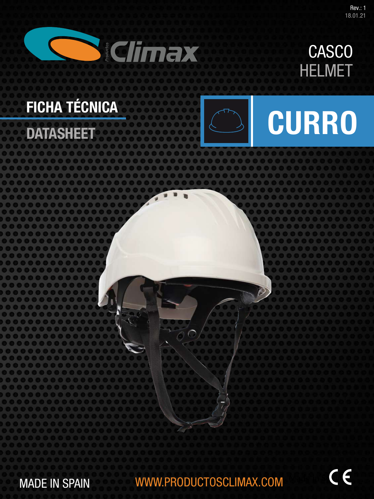

## HELMET CASCO

# FICHA TÉCNICA

**DATASHEET** 



# **CURRO**

MADE IN SPAIN WWW.PRODUCTOSCLIMAX.COM

€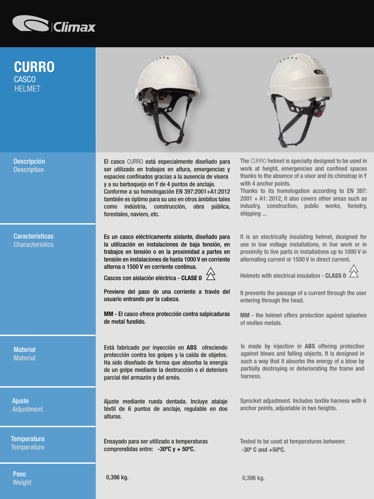

## CURRO **HFI MFT CASCO**



El casco CURRO está especialmente diseñado para ser utilizado en trabajos en altura, emergencias y espacios confinados gracias a la ausencia de visera y a su barboquejo en Y de 4 puntos de anclaje. Conforme a su homologación EN 397:2001+A1:2012 también es óptimo para su uso en otros ámbitos tales como indústria, construcción, obra pública, forestales, naviero, etc.

Es un casco eléctricamente aislante, diseñado para la utilización en instalaciones de baja tensión, en trabajos en tensión o en la proximidad a partes en tensión en instalaciones de hasta 1000 V en corriente alterna o 1500 V en corriente continua.

Cascos con aislación eléctrica - CLASE 0  $\overleftrightarrow{\triangle}$ 

Previene del paso de una corriente a través del usuario entrando por la cabeza.

MM - El casco ofrece protección contra salpicaduras de metal fundido.

Está fabricado por inyección en ABS ofreciendo protección contra los golpes y la caída de objetos. Ha sido diseñado de forma que absorba la energía de un golpe mediante la destrucción o el deterioro parcial del armazón y del arnés.

Ajuste mediante rueda dentada. Incluye atalaje téxtil de 6 puntos de anclaje, regulable en dos alturas.

Ensayado para ser utilizado a temperaturas comprendidas entre: -30ºC y + 50ºC.



The CURRO helmet is specially designed to be used in work at height, emergencies and confined spaces thanks to the absence of a visor and its chinstrap in Y with 4 anchor points.

Thanks to its homologation according to EN 397:  $2001 + A1$ : 2012, it also covers other areas such as industry, construction, public works, forestry, shipping ...

It is an electrically insulating helmet, designed for use in low voltage installations, in live work or in proximity to live parts in installations up to 1000 V in alternating current or 1500 V in direct current.



It prevents the passage of a current through the user entering through the head.

MM - the helmet offers protection against splashes of molten metals.

Is made by injection in ABS offering protection against blows and falling objects. It is designed in such a way that it absorbs the energy of a blow by partially destroying or deteriorating the frame and harness.

Sprocket adjustment. Includes textile harness with 6 anchor points, adjustable in two heights.

Tested to be used at temperatures between: -30º C and +50ºC.

Descripción **Description** 

**Características Characteristics** 

**Material Material** 

Ajuste Adjustment

**Temperatura Temperature** 

Peso Weight 0,396 kg. 0,396 kg.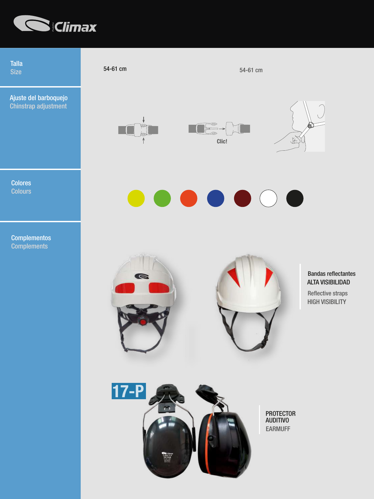

Talla

Ajuste del barboquejo Chinstrap adjustment

Colores

**Complementos Complements** 

Size  $54-61$  cm  $54-61$  cm  $54-61$  cm  $54-61$  cm











#### ALTA VISIBILIDAD Bandas reflectantes

HIGH VISIBILITY Reflective straps



PROTECTOR AUDITIVO EARMUFF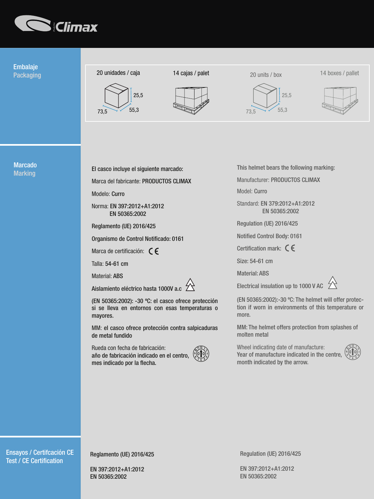

### Embalaje Packaging

WEIGHT



 $73.5$  55,3





20 units / box







Marcado **Marking** 

CERTIFICATION

El casco incluye el siguiente marcado:

25,5

Marca del fabricante: PRODUCTOS CLIMAX

Modelo: Curro

Norma: EN 397:2012+A1:2012 EN 50365:2002

Reglamento (UE) 2016/425

Organismo de Control Notificado: 0161

Marca de certificación:  $\zeta \epsilon$ 

Talla: 54-61 cm

Material: ABS

Aislamiento eléctrico hasta 1000V a.c  $\ Z$ 

(EN 50365:2002): -30 ºC: el casco ofrece protección si se lleva en entornos con esas temperaturas o mayores.

MM: el casco ofrece protección contra salpicaduras de metal fundido

Rueda con fecha de fabricación: año de fabricación indicado en el centro, mes indicado por la flecha.



This helmet bears the following marking:

Manufacturer: PRODUCTOS CLIMAX

Model: Curro

Standard: EN 379:2012+A1:2012 EN 50365:2002

Regulation (UE) 2016/425

Notified Control Body: 0161

Certification mark:  $\zeta \epsilon$ 

Size: 54-61 cm

Material: ABS

Electrical insulation up to 1000 V AC

(EN 50365:2002):-30 ºC: The helmet will offer protection if worn in environments of this temperature or more.

MM: The helmet offers protection from splashes of molten metal

Wheel indicating date of manufacture: Year of manufacture indicated in the centre, month indicated by the arrow.



Ensayos / Certifcación CE **Test / CE Certification** 

Reglamento (UE) 2016/425

EN 397:2012+A1:2012 EN 50365:2002

Regulation (UE) 2016/425

EN 397:2012+A1:2012 EN 50365:2002